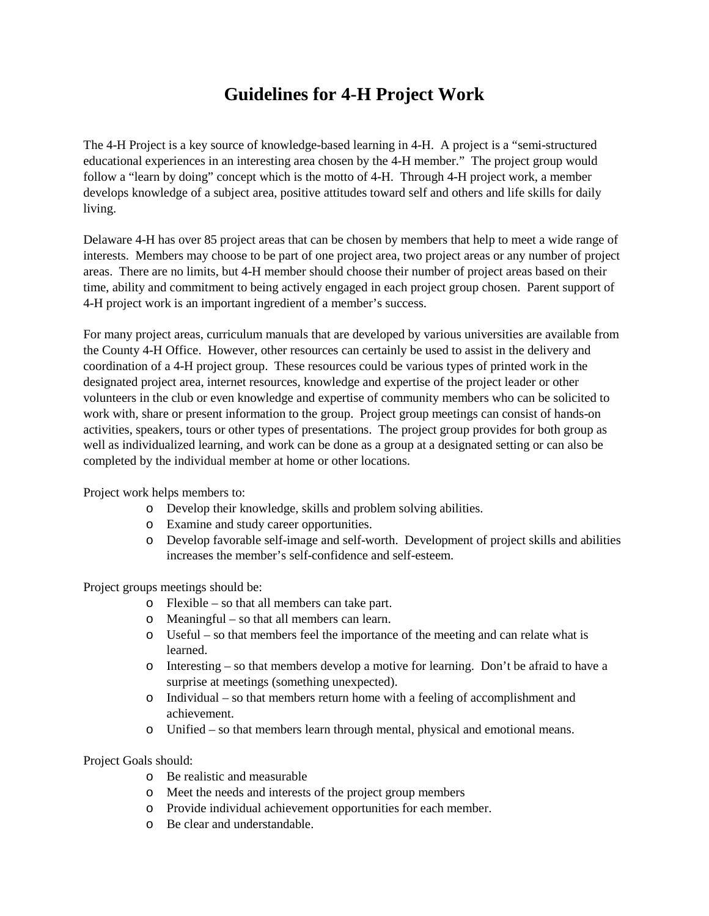## **Guidelines for 4-H Project Work**

The 4-H Project is a key source of knowledge-based learning in 4-H. A project is a "semi-structured educational experiences in an interesting area chosen by the 4-H member." The project group would follow a "learn by doing" concept which is the motto of 4-H. Through 4-H project work, a member develops knowledge of a subject area, positive attitudes toward self and others and life skills for daily living.

Delaware 4-H has over 85 project areas that can be chosen by members that help to meet a wide range of interests. Members may choose to be part of one project area, two project areas or any number of project areas. There are no limits, but 4-H member should choose their number of project areas based on their time, ability and commitment to being actively engaged in each project group chosen. Parent support of 4-H project work is an important ingredient of a member's success.

For many project areas, curriculum manuals that are developed by various universities are available from the County 4-H Office. However, other resources can certainly be used to assist in the delivery and coordination of a 4-H project group. These resources could be various types of printed work in the designated project area, internet resources, knowledge and expertise of the project leader or other volunteers in the club or even knowledge and expertise of community members who can be solicited to work with, share or present information to the group. Project group meetings can consist of hands-on activities, speakers, tours or other types of presentations. The project group provides for both group as well as individualized learning, and work can be done as a group at a designated setting or can also be completed by the individual member at home or other locations.

Project work helps members to:

- o Develop their knowledge, skills and problem solving abilities.
- o Examine and study career opportunities.
- o Develop favorable self-image and self-worth. Development of project skills and abilities increases the member's self-confidence and self-esteem.

Project groups meetings should be:

- o Flexible so that all members can take part.
- o Meaningful so that all members can learn.
- o Useful so that members feel the importance of the meeting and can relate what is learned.
- o Interesting so that members develop a motive for learning. Don't be afraid to have a surprise at meetings (something unexpected).
- o Individual so that members return home with a feeling of accomplishment and achievement.
- o Unified so that members learn through mental, physical and emotional means.

Project Goals should:

- o Be realistic and measurable
- o Meet the needs and interests of the project group members
- o Provide individual achievement opportunities for each member.
- o Be clear and understandable.